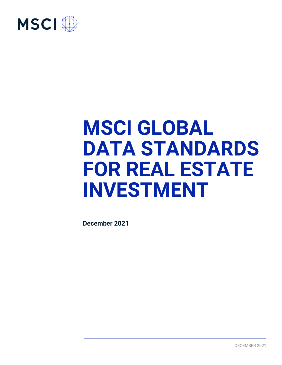

# **MSCI GLOBAL DATA STANDARDS FOR REAL ESTATE INVESTMENT**

**December 2021**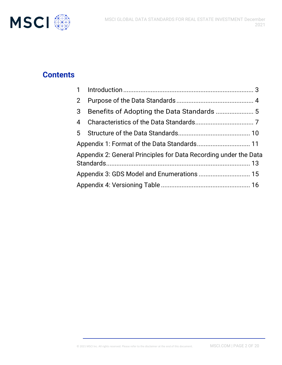

## **Contents**

| $\overline{2}$                                                   |  |  |  |
|------------------------------------------------------------------|--|--|--|
| 3                                                                |  |  |  |
| 4                                                                |  |  |  |
|                                                                  |  |  |  |
|                                                                  |  |  |  |
| Appendix 2: General Principles for Data Recording under the Data |  |  |  |
|                                                                  |  |  |  |
|                                                                  |  |  |  |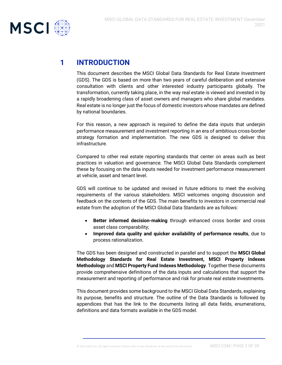

## <span id="page-2-0"></span>**1 INTRODUCTION**

This document describes the MSCI Global Data Standards for Real Estate Investment (GDS). The GDS is based on more than two years of careful deliberation and extensive consultation with clients and other interested industry participants globally. The transformation, currently taking place, in the way real estate is viewed and invested in by a rapidly broadening class of asset owners and managers who share global mandates. Real estate is no longer just the focus of domestic investors whose mandates are defined by national boundaries.

For this reason, a new approach is required to define the data inputs that underpin performance measurement and investment reporting in an era of ambitious cross-border strategy formation and implementation. The new GDS is designed to deliver this infrastructure.

Compared to other real estate reporting standards that center on areas such as best practices in valuation and governance. The MSCI Global Data Standards complement these by focusing on the data inputs needed for investment performance measurement at vehicle, asset and tenant level.

GDS will continue to be updated and revised in future editions to meet the evolving requirements of the various stakeholders. MSCI welcomes ongoing discussion and feedback on the contents of the GDS. The main benefits to investors in commercial real estate from the adoption of the MSCI Global Data Standards are as follows:

- **Better informed decision-making** through enhanced cross border and cross asset class comparability;
- **Improved data quality and quicker availability of performance results**, due to process rationalization.

The GDS has been designed and constructed in parallel and to support the **MSCI Global Methodology Standards for Real Estate Investment, MSCI Property Indexes Methodology** and **MSCI Property Fund Indexes Methodology**. Together these documents provide comprehensive definitions of the data inputs and calculations that support the measurement and reporting of performance and risk for private real estate investments.

This document provides some background to the MSCI Global Data Standards, explaining its purpose, benefits and structure. The outline of the Data Standards is followed by appendices that has the link to the documents listing all data fields, enumerations, definitions and data formats available in the GDS model.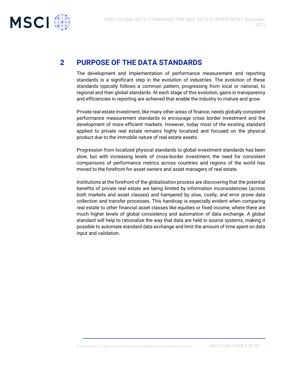

## <span id="page-3-0"></span>**2 PURPOSE OF THE DATA STANDARDS**

The development and implementation of performance measurement and reporting standards is a significant step in the evolution of industries. The evolution of these standards typically follows a common pattern, progressing from local or national, to regional and then global standards. At each stage of this evolution, gains in transparency and efficiencies in reporting are achieved that enable the industry to mature and grow.

Private real estate investment, like many other areas of finance, needs globally consistent performance measurement standards to encourage cross border investment and the development of more efficient markets. However, today most of the existing standard applied to private real estate remains highly localized and focused on the physical product due to the immobile nature of real estate assets.

Progression from localized physical standards to global investment standards has been slow, but with increasing levels of cross-border investment, the need for consistent comparisons of performance metrics across countries and regions of the world has moved to the forefront for asset owners and asset managers of real estate.

Institutions at the forefront of the globalization process are discovering that the potential benefits of private real estate are being limited by information inconsistencies (across both markets and asset classes) and hampered by slow, costly, and error prone data collection and transfer processes. This handicap is especially evident when comparing real estate to other financial asset classes like equities or fixed income, where there are much higher levels of global consistency and automation of data exchange. A global standard will help to rationalize the way that data are held in source systems, making it possible to automate standard data exchange and limit the amount of time spent on data input and validation.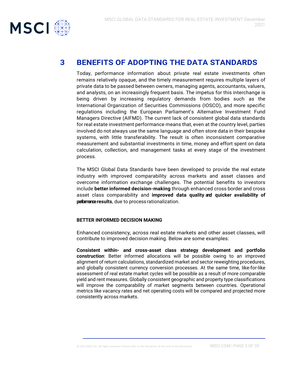

## <span id="page-4-0"></span>**3 BENEFITS OF ADOPTING THE DATA STANDARDS**

Today, performance information about private real estate investments often remains relatively opaque, and the timely measurement requires multiple layers of private data to be passed between owners, managing agents, accountants, valuers, and analysts, on an increasingly frequent basis. The impetus for this interchange is being driven by increasing regulatory demands from bodies such as the International Organization of Securities Commissions (IOSCO), and more specific regulations including the European Parliament's Alternative Investment Fund Managers Directive (AIFMD). The current lack of consistent global data standards for real estate investment performance means that, even at the country level, parties involved do not always use the same language and often store data in their bespoke systems, with little transferability. The result is often inconsistent comparative measurement and substantial investments in time, money and effort spent on data calculation, collection, and management tasks at every stage of the investment process.

The MSCI Global Data Standards have been developed to provide the real estate industry with improved comparability across markets and asset classes and overcome information exchange challenges. The potential benefits to investors include **better informed decision-making** through enhanced cross border and cross asset class comparability and **improved data quality and quicker availability of performanceresults**, due to process rationalization.

#### **BETTER INFORMED DECISION MAKING**

Enhanced consistency, across real estate markets and other asset classes, will contribute to improved decision making. Below are some examples:

**Consistent within- and cross-asset class strategy development and portfolio construction**: Better informed allocations will be possible owing to an improved alignment of return calculations, standardized market and sector reweighting procedures, and globally consistent currency conversion processes. At the same time, like-for-like assessment of real estate market cycles will be possible as a result of more comparable yield and rent measures. Globally consistent geographic and property type classifications will improve the comparability of market segments between countries. Operational metrics like vacancy rates and net operating costs will be compared and projected more consistently across markets.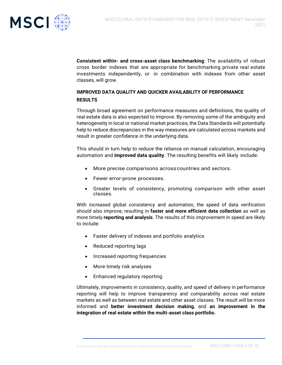

**Consistent within- and cross-asset class benchmarking**: The availability of robust cross border indexes that are appropriate for benchmarking private real estate investments independently, or in combination with indexes from other asset classes, will grow.

#### **IMPROVED DATA QUALITY AND QUICKER AVAILABILITY OF PERFORMANCE RESULTS**

Through broad agreement on performance measures and definitions, the quality of real estate data is also expected to improve. By removing some of the ambiguity and heterogeneity in local or national market practices, the Data Standards will potentially help to reduce discrepancies in the way measures are calculated across markets and result in greater confidence in the underlying data.

This should in turn help to reduce the reliance on manual calculation, encouraging automation and **improved data quality**. The resulting benefits will likely include:

- More precise comparisons across countries and sectors.
- Fewer error-prone processes.
- Greater levels of consistency, promoting comparison with other asset classes.

With increased global consistency and automation, the speed of data verification should also improve, resulting in **faster and more efficient data collection** as well as more timely **reporting and analysis**. The results of this improvement in speed are likely to include:

- Faster delivery of indexes and portfolio analytics
- Reduced reporting lags
- Increased reporting frequencies
- More timely risk analyses
- Enhanced regulatory reporting

Ultimately, improvements in consistency, quality, and speed of delivery in performance reporting will help to improve transparency and comparability across real estate markets as well as between real estate and other asset classes. The result will be more informed and **better investment decision making**, and **an improvement in the integration of real estate within the multi-asset class portfolio.**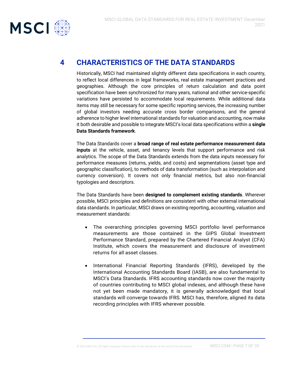

## <span id="page-6-0"></span>**4 CHARACTERISTICS OF THE DATA STANDARDS**

Historically, MSCI had maintained slightly different data specifications in each country, to reflect local differences in legal frameworks, real estate management practices and geographies. Although the core principles of return calculation and data point specification have been synchronized for many years, national and other service-specific variations have persisted to accommodate local requirements. While additional data items may still be necessary for some specific reporting services, the increasing number of global investors needing accurate cross border comparisons, and the general adherence to higher level international standards for valuation and accounting, now make it both desirable and possible to integrate MSCI's local data specifications within a **single Data Standards framework**.

The Data Standards cover a **broad range of real estate performance measurement data inputs** at the vehicle, asset, and tenancy levels that support performance and risk analytics. The scope of the Data Standards extends from the data inputs necessary for performance measures (returns, yields, and costs) and segmentations (asset type and geographic classification), to methods of data transformation (such as interpolation and currency conversion). It covers not only financial metrics, but also non-financial typologies and descriptors.

The Data Standards have been **designed to complement existing standards**. Wherever possible, MSCI principles and definitions are consistent with other external international data standards. In particular, MSCI draws on existing reporting, accounting, valuation and measurement standards:

- The overarching principles governing MSCI portfolio level performance measurements are those contained in the GIPS Global Investment Performance Standard, prepared by the Chartered Financial Analyst (CFA) Institute, which covers the measurement and disclosure of investment returns for all asset classes.
- International Financial Reporting Standards (IFRS), developed by the International Accounting Standards Board (IASB), are also fundamental to MSCI's Data Standards. IFRS accounting standards now cover the majority of countries contributing to MSCI global indexes, and although these have not yet been made mandatory, it is generally acknowledged that local standards will converge towards IFRS. MSCI has, therefore, aligned its data recording principles with IFRS wherever possible.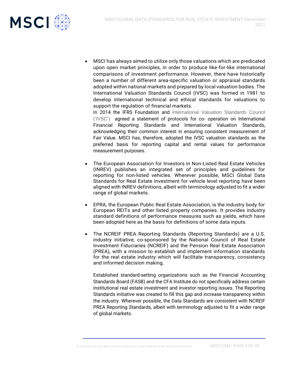

• MSCI has always aimed to utilize only those valuations which are predicated upon open market principles, in order to produce like-for-like international comparisons of investment performance. However, there have historically been a number of different area-specific valuation or appraisal standards adopted within national markets and prepared by local valuation bodies. The International Valuation Standards Council (IVSC) was formed in 1981 to develop international technical and ethical standards for valuations to support the regulation of financial markets.

In 2014 the IFRS Foundation and International Valuation Standards Council ('IVSC') agreed a statement of protocols for co- operation on International Financial Reporting Standards and International Valuation Standards, acknowledging their common interest in ensuring consistent measurement of Fair Value. MSCI has, therefore, adopted the IVSC valuation standards as the preferred basis for reporting capital and rental values for performance measurement purposes.

- The European Association for Investors in Non-Listed Real Estate Vehicles (INREV) publishes an integrated set of principles and guidelines for reporting for non-listed vehicles. Wherever possible, MSCI Global Data Standards for Real Estate Investment for vehicle level reporting have been aligned with INREV definitions, albeit with terminology adjusted to fit a wider range of global markets.
- EPRA, the European Public Real Estate Association, is the industry body for European REITs and other listed property companies. It provides industry standard definitions of performance measures such as yields, which have been adopted here as the basis for definitions of some data inputs.
- The NCREIF PREA Reporting Standards (Reporting Standards) are a U.S. industry initiative, co-sponsored by the National Council of Real Estate Investment Fiduciaries (NCREIF) and the Pension Real Estate Association (PREA), with a mission to establish and implement information standards for the real estate industry which will facilitate transparency, consistency and informed decision making.

Established standard-setting organizations such as the Financial Accounting Standards Board (FASB) and the CFA Institute do not specifically address certain institutional real estate investment and investor reporting issues. The Reporting Standards initiative was created to fill this gap and increase transparency within the industry. Wherever possible, the Data Standards are consistent with NCREIF PREA Reporting Standards, albeit with terminology adjusted to fit a wider range of global markets.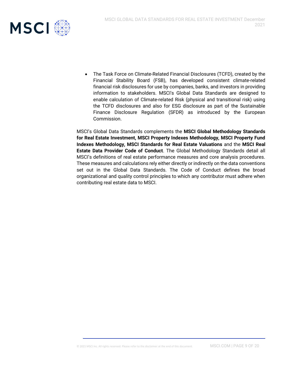

• The Task Force on Climate-Related Financial Disclosures (TCFD), created by the Financial Stability Board (FSB), has developed consistent climate-related financial risk disclosures for use by companies, banks, and investors in providing information to stakeholders. MSCI's Global Data Standards are designed to enable calculation of Climate-related Risk (physical and transitional risk) using the TCFD disclosures and also for ESG disclosure as part of the Sustainable Finance Disclosure Regulation (SFDR) as introduced by the European Commission.

<span id="page-8-0"></span>MSCI's Global Data Standards complements the **MSCI Global Methodology Standards for Real Estate Investment, MSCI Property Indexes Methodology, MSCI Property Fund Indexes Methodology, MSCI Standards for Real Estate Valuations** and the **MSCI Real Estate Data Provider Code of Conduct**. The Global Methodology Standards detail all MSCI's definitions of real estate performance measures and core analysis procedures. These measures and calculations rely either directly or indirectly on the data conventions set out in the Global Data Standards. The Code of Conduct defines the broad organizational and quality control principles to which any contributor must adhere when contributing real estate data to MSCI.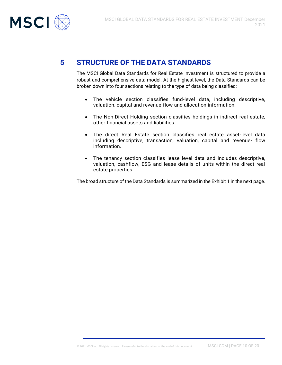

## **5 STRUCTURE OF THE DATA STANDARDS**

The MSCI Global Data Standards for Real Estate Investment is structured to provide a robust and comprehensive data model. At the highest level, the Data Standards can be broken down into four sections relating to the type of data being classified:

- The vehicle section classifies fund-level data, including descriptive, valuation, capital and revenue-flow and allocation information.
- The Non-Direct Holding section classifies holdings in indirect real estate, other financial assets and liabilities.
- The direct Real Estate section classifies real estate asset-level data including descriptive, transaction, valuation, capital and revenue- flow information.
- The tenancy section classifies lease level data and includes descriptive, valuation, cashflow, ESG and lease details of units within the direct real estate properties.

The broad structure of the Data Standards is summarized in the Exhibit 1 in the next page.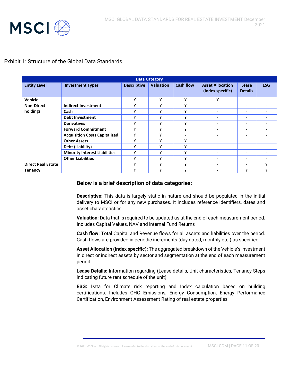

#### Exhibit 1: Structure of the Global Data Standards

<span id="page-10-0"></span>

| <b>Data Category</b>      |                                      |                    |                  |                          |                                             |                          |              |
|---------------------------|--------------------------------------|--------------------|------------------|--------------------------|---------------------------------------------|--------------------------|--------------|
| <b>Entity Level</b>       | <b>Investment Types</b>              | <b>Descriptive</b> | <b>Valuation</b> | <b>Cash flow</b>         | <b>Asset Allocation</b><br>(Index specific) | Lease<br><b>Details</b>  | <b>ESG</b>   |
| Vehicle                   |                                      | v                  | v                | ٧                        | v                                           | $\overline{\phantom{a}}$ |              |
| <b>Non-Direct</b>         | <b>Indirect Investment</b>           | $\checkmark$       | v                | v                        | $\overline{\phantom{a}}$                    | $\overline{\phantom{a}}$ |              |
| holdings                  | Cash                                 | $\checkmark$       | v                | v                        | $\overline{\phantom{0}}$                    | $\overline{\phantom{a}}$ |              |
|                           | <b>Debt Investment</b>               | v                  | $\checkmark$     | $\checkmark$             | $\overline{\phantom{0}}$                    | $\overline{\phantom{0}}$ |              |
|                           | <b>Derivatives</b>                   | v                  | v                | ٧                        | $\overline{\phantom{a}}$                    | -                        |              |
|                           | <b>Forward Commitment</b>            | v                  | $\checkmark$     | v                        | $\overline{\phantom{0}}$                    | $\overline{\phantom{a}}$ |              |
|                           | <b>Acquisition Costs Capitalized</b> | $\checkmark$       | v                | $\overline{\phantom{a}}$ | ٠                                           | $\overline{\phantom{a}}$ |              |
|                           | <b>Other Assets</b>                  | v                  | $\checkmark$     | v                        | $\overline{\phantom{0}}$                    | $\overline{\phantom{0}}$ |              |
|                           | Debt (Liability)                     | $\checkmark$       | v                | v                        | $\overline{\phantom{a}}$                    | $\overline{\phantom{0}}$ |              |
|                           | <b>Minority Interest Liabilities</b> | v                  | v                | v                        | $\overline{\phantom{0}}$                    | $\overline{\phantom{0}}$ |              |
|                           | <b>Other Liabilities</b>             | $\checkmark$       | v                | $\checkmark$             | $\overline{\phantom{0}}$                    | $\overline{\phantom{a}}$ |              |
| <b>Direct Real Estate</b> |                                      | $\checkmark$       | v                | $\mathsf{v}$             | ٠                                           | $\overline{\phantom{0}}$ | Υ            |
| <b>Tenancy</b>            |                                      | $\checkmark$       | $\checkmark$     | $\checkmark$             | -                                           | ۷                        | $\checkmark$ |

#### **Below is a brief description of data categories:**

**Descriptive:** This data is largely static in nature and should be populated in the initial delivery to MSCI or for any new purchases. It includes reference identifiers, dates and asset characteristics

**Valuation:** Data that is required to be updated as at the end of each measurement period. Includes Capital Values, NAV and internal Fund Returns

**Cash flow:** Total Capital and Revenue flows for all assets and liabilities over the period. Cash flows are provided in periodic increments (day dated, monthly etc.) as specified

**Asset Allocation (Index specific):** The aggregated breakdown of the Vehicle's investment in direct or indirect assets by sector and segmentation at the end of each measurement period

**Lease Details:** Information regarding (Lease details, Unit characteristics, Tenancy Steps indicating future rent schedule of the unit)

**ESG:** Data for Climate risk reporting and Index calculation based on building certifications. Includes GHG Emissions, Energy Consumption, Energy Performance Certification, Environment Assessment Rating of real estate properties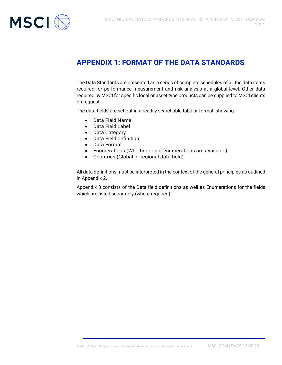

## **APPENDIX 1: FORMAT OF THE DATA STANDARDS**

The Data Standards are presented as a series of complete schedules of all the data items required for performance measurement and risk analysis at a global level. Other data required by MSCI for specific local or asset type products can be supplied to MSCI clients on request.

The data fields are set out in a readily searchable tabular format, showing:

- Data Field Name
- Data Field Label
- Data Category
- Data Field definition
- Data Format
- Enumerations (Whether or not enumerations are available)
- Countries (Global or regional data field)

All data definitions must be interpreted in the context of the general principles as outlined in Appendix 2.

Appendix 3 consists of the Data field definitions as well as Enumerations for the fields which are listed separately (where required).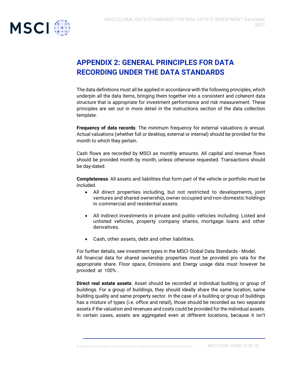

## <span id="page-12-0"></span>**APPENDIX 2: GENERAL PRINCIPLES FOR DATA RECORDING UNDER THE DATA STANDARDS**

The data definitions must all be applied in accordance with the following principles, which underpin all the data items, bringing them together into a consistent and coherent data structure that is appropriate for investment performance and risk measurement. These principles are set out in more detail in the instructions section of the data collection template.

**Frequency of data records**: The minimum frequency for external valuations is annual. Actual valuations (whether full or desktop, external or internal) should be provided for the month to which they pertain.

Cash flows are recorded by MSCI as monthly amounts. All capital and revenue flows should be provided month by month, unless otherwise requested. Transactions should be day-dated.

**Completeness**: All assets and liabilities that form part of the vehicle or portfolio must be included.

- All direct properties including, but not restricted to developments, joint ventures and shared ownership, owner occupied and non-domestic holdings in commercial and residential assets.
- All indirect investments in private and public vehicles including: Listed and unlisted vehicles, property company shares, mortgage loans and other derivatives.
- Cash, other assets, debt and other liabilities.

For further details, see investment types in the MSCI Global Data Standards - Model. All financial data for shared ownership properties must be provided pro rata for the appropriate share. Floor space, Emissions and Energy usage data must however be provided at 100% .

**Direct real estate assets**: Asset should be recorded at individual building or group of buildings. For a group of buildings, they should ideally share the same location, same building quality and same property sector. In the case of a building or group of buildings has a mixture of types (i.e. office and retail), those should be recorded as two separate assets if the valuation and revenues and costs could be provided for the individual assets. In certain cases, assets are aggregated even at different locations, because it isn't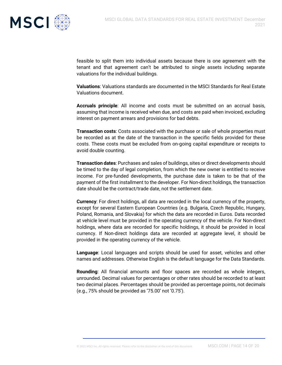

feasible to split them into individual assets because there is one agreement with the tenant and that agreement can't be attributed to single assets including separate valuations for the individual buildings.

**Valuations**: Valuations standards are documented in the MSCI Standards for Real Estate Valuations document.

**Accruals principle**: All income and costs must be submitted on an accrual basis, assuming that income is received when due, and costs are paid when invoiced, excluding interest on payment arrears and provisions for bad debts.

**Transaction costs**: Costs associated with the purchase or sale of whole properties must be recorded as at the date of the transaction in the specific fields provided for these costs. These costs must be excluded from on-going capital expenditure or receipts to avoid double counting.

**Transaction dates**: Purchases and sales of buildings, sites or direct developments should be timed to the day of legal completion, from which the new owner is entitled to receive income. For pre-funded developments, the purchase date is taken to be that of the payment of the first installment to the developer. For Non-direct holdings, the transaction date should be the contract/trade date, not the settlement date.

**Currency**: For direct holdings, all data are recorded in the local currency of the property, except for several Eastern European Countries (e.g. Bulgaria, Czech Republic, Hungary, Poland, Romania, and Slovakia) for which the data are recorded in Euros. Data recorded at vehicle level must be provided in the operating currency of the vehicle. For Non-direct holdings, where data are recorded for specific holdings, it should be provided in local currency. If Non-direct holdings data are recorded at aggregate level, it should be provided in the operating currency of the vehicle.

**Language**: Local languages and scripts should be used for asset, vehicles and other names and addresses. Otherwise English is the default language for the Data Standards.

**Rounding**: All financial amounts and floor spaces are recorded as whole integers, unrounded. Decimal values for percentages or other rates should be recorded to at least two decimal places. Percentages should be provided as percentage points, not decimals (e.g., 75% should be provided as '75.00' not '0.75').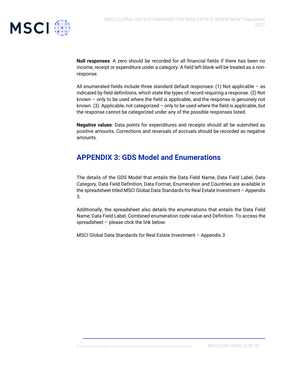

**Null responses**: A zero should be recorded for all financial fields if there has been no income, receipt or expenditure under a category. A field left blank will be treated as a nonresponse.

All enumerated fields include three standard default responses:  $(1)$  Not applicable – as indicated by field definitions, which state the types of record requiring a response. (2) Not known – only to be used where the field is applicable, and the response is genuinely not known. (3) Applicable, not categorized – only to be used where the field is applicable, but the response cannot be categorized under any of the possible responses listed.

**Negative values**: Data points for expenditures and receipts should all be submitted as positive amounts. Corrections and reversals of accruals should be recorded as negative amounts.

## <span id="page-14-0"></span>**APPENDIX 3: GDS Model and Enumerations**

The details of the GDS Model that entails the Data Field Name, Data Field Label, Data Category, Data Field Definition, Data Format, Enumeration and Countries are available in the spreadsheet titled MSCI Global Data Standards for Real Estate Investment – Appendix 3.

Additionally, the spreadsheet also details the enumerations that entails the Data Field Name, Data Field Label, Combined enumeration code value and Definition. To access the spreadsheet – please click the link below:

MSCI Global Data Standards for Real Estate Investment – Appendix 3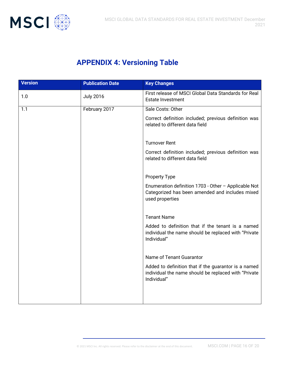

## <span id="page-15-0"></span>**APPENDIX 4: Versioning Table**

| <b>Version</b> | <b>Publication Date</b> | <b>Key Changes</b>                                                                                                          |
|----------------|-------------------------|-----------------------------------------------------------------------------------------------------------------------------|
| 1.0            | <b>July 2016</b>        | First release of MSCI Global Data Standards for Real<br><b>Estate Investment</b>                                            |
| 1.1            | February 2017           | Sale Costs: Other                                                                                                           |
|                |                         | Correct definition included; previous definition was<br>related to different data field                                     |
|                |                         | <b>Turnover Rent</b>                                                                                                        |
|                |                         | Correct definition included; previous definition was<br>related to different data field                                     |
|                |                         | <b>Property Type</b>                                                                                                        |
|                |                         | Enumeration definition 1703 - Other - Applicable Not<br>Categorized has been amended and includes mixed<br>used properties  |
|                |                         |                                                                                                                             |
|                |                         | <b>Tenant Name</b>                                                                                                          |
|                |                         | Added to definition that if the tenant is a named<br>individual the name should be replaced with "Private<br>Individual"    |
|                |                         | Name of Tenant Guarantor                                                                                                    |
|                |                         | Added to definition that if the guarantor is a named<br>individual the name should be replaced with "Private<br>Individual" |
|                |                         |                                                                                                                             |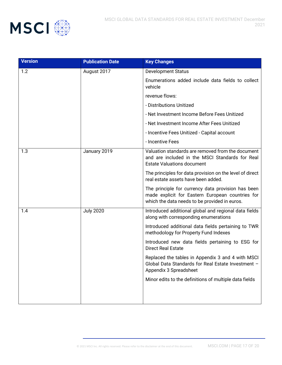

| <b>Version</b> | <b>Publication Date</b> | <b>Key Changes</b>                                                                                                                                      |
|----------------|-------------------------|---------------------------------------------------------------------------------------------------------------------------------------------------------|
| 1.2            | August 2017             | <b>Development Status</b>                                                                                                                               |
|                |                         | Enumerations added include data fields to collect<br>vehicle                                                                                            |
|                |                         | revenue flows:                                                                                                                                          |
|                |                         | - Distributions Unitized                                                                                                                                |
|                |                         | - Net Investment Income Before Fees Unitized                                                                                                            |
|                |                         | - Net Investment Income After Fees Unitized                                                                                                             |
|                |                         | - Incentive Fees Unitized - Capital account                                                                                                             |
|                |                         | - Incentive Fees                                                                                                                                        |
| 1.3            | January 2019            | Valuation standards are removed from the document<br>and are included in the MSCI Standards for Real<br><b>Estate Valuations document</b>               |
|                |                         | The principles for data provision on the level of direct<br>real estate assets have been added.                                                         |
|                |                         | The principle for currency data provision has been<br>made explicit for Eastern European countries for<br>which the data needs to be provided in euros. |
| 1.4            | <b>July 2020</b>        | Introduced additional global and regional data fields<br>along with corresponding enumerations                                                          |
|                |                         | Introduced additional data fields pertaining to TWR<br>methodology for Property Fund Indexes                                                            |
|                |                         | Introduced new data fields pertaining to ESG for<br><b>Direct Real Estate</b>                                                                           |
|                |                         | Replaced the tables in Appendix 3 and 4 with MSCI<br>Global Data Standards for Real Estate Investment -<br>Appendix 3 Spreadsheet                       |
|                |                         | Minor edits to the definitions of multiple data fields                                                                                                  |
|                |                         |                                                                                                                                                         |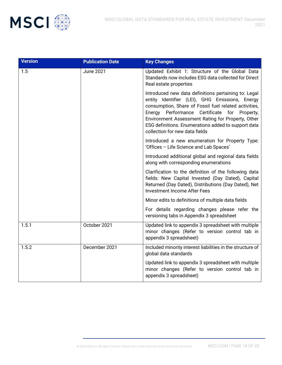

| <b>Version</b> | <b>Publication Date</b> | <b>Key Changes</b>                                                                                                                                                                                                                                                                                                                                               |
|----------------|-------------------------|------------------------------------------------------------------------------------------------------------------------------------------------------------------------------------------------------------------------------------------------------------------------------------------------------------------------------------------------------------------|
| 1.5            | <b>June 2021</b>        | Updated Exhibit 1: Structure of the Global Data<br>Standards now includes ESG data collected for Direct<br>Real estate properties                                                                                                                                                                                                                                |
|                |                         | Introduced new data definitions pertaining to: Legal<br>entity Identifier (LEI), GHG Emissions, Energy<br>consumption, Share of Fossil fuel related activities,<br>Energy Performance<br>Certificate for Property,<br>Environment Assessment Rating for Property, Other<br>ESG definitions. Enumerations added to support data<br>collection for new data fields |
|                |                         | Introduced a new enumeration for Property Type:<br>'Offices - Life Science and Lab Spaces'                                                                                                                                                                                                                                                                       |
|                |                         | Introduced additional global and regional data fields<br>along with corresponding enumerations                                                                                                                                                                                                                                                                   |
|                |                         | Clarification to the definition of the following data<br>fields: New Capital Invested (Day Dated), Capital<br>Returned (Day Dated), Distributions (Day Dated), Net<br><b>Investment Income After Fees</b>                                                                                                                                                        |
|                |                         | Minor edits to definitions of multiple data fields                                                                                                                                                                                                                                                                                                               |
|                |                         | For details regarding changes please refer the<br>versioning tabs in Appendix 3 spreadsheet                                                                                                                                                                                                                                                                      |
| 1.5.1          | October 2021            | Updated link to appendix 3 spreadsheet with multiple<br>minor changes (Refer to version control tab in<br>appendix 3 spreadsheet)                                                                                                                                                                                                                                |
| 1.5.2          | December 2021           | Included minority interest liabilities in the structure of<br>global data standards                                                                                                                                                                                                                                                                              |
|                |                         | Updated link to appendix 3 spreadsheet with multiple<br>minor changes (Refer to version control tab in<br>appendix 3 spreadsheet)                                                                                                                                                                                                                                |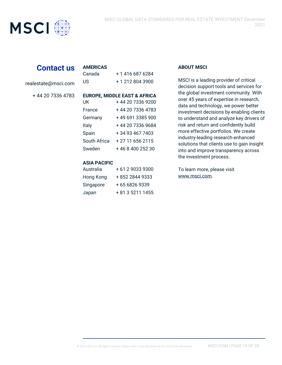

## **Contact us**

realestate@msci.com

+ 44 20 7336 4783

| Canada       | + 1 416 687 6284                        |
|--------------|-----------------------------------------|
| US           | + 1 212 804 3900                        |
|              |                                         |
|              | <b>EUROPE, MIDDLE EAST &amp; AFRICA</b> |
| UK           | + 44 20 7336 9200                       |
| France       | + 44 20 7336 4783                       |
| Germany      | +496913385900                           |
| Italy        | +44 20 7336 9684                        |
| Spain        | + 34 93 467 7403                        |
| South Africa | + 27 11 656 2115                        |
| Sweden       | +46840025230                            |
|              |                                         |

#### **ASIA PACIFIC**

**AMERICAS**

| Australia | +61290339300     |
|-----------|------------------|
| Hong Kong | + 852 2844 9333  |
| Singapore | +6568269339      |
| Japan     | + 81 3 5211 1455 |

#### **ABOUT MSCI**

MSCI is a leading provider of critical decision support tools and services for the global investment community. With over 45 years of expertise in research, data and technology, we power better investment decisions by enabling clients to understand and analyze key drivers of risk and return and confidently build more effective portfolios. We create industry-leading research-enhanced solutions that clients use to gain insight into and improve transparency across the investment process.

To learn more, please visit www.msci.com.